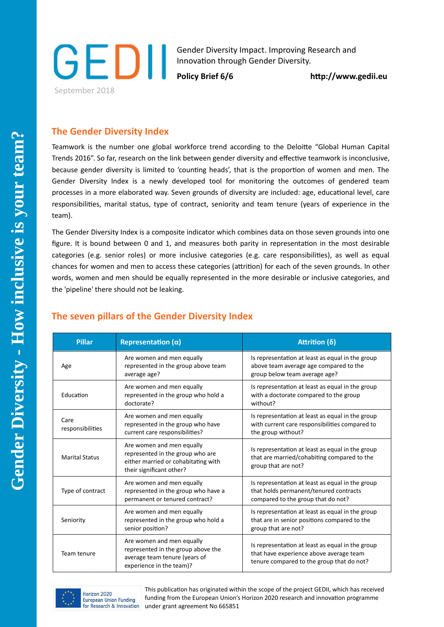

Gender Diversity Impact. Improving Research and Innovation through Gender Diversity.

Policy Brief 6/6 **http://www.gedii.eu** 

## **The Gender Diversity Index**

Teamwork is the number one global workforce trend according to the Deloite "Global Human Capital Trends 2016". So far, research on the link between gender diversity and efectve teamwork is inconclusive, because gender diversity is limited to 'counting heads', that is the proportion of women and men. The Gender Diversity Index is a newly developed tool for monitoring the outcomes of gendered team processes in a more elaborated way. Seven grounds of diversity are included: age, educatonal level, care responsibilites, marital status, type of contract, seniority and team tenure (years of experience in the team).

The Gender Diversity Index is a composite indicator which combines data on those seven grounds into one figure. It is bound between 0 and 1, and measures both parity in representation in the most desirable categories (e.g. senior roles) or more inclusive categories (e.g. care responsibilites), as well as equal chances for women and men to access these categories (atriton) for each of the seven grounds. In other words, women and men should be equally represented in the more desirable or inclusive categories, and the 'pipeline' there should not be leaking.

| <b>Pillar</b>            | Representation $(\alpha)$                                                                                                        | Attrition (δ)                                                                                                                            |  |  |
|--------------------------|----------------------------------------------------------------------------------------------------------------------------------|------------------------------------------------------------------------------------------------------------------------------------------|--|--|
| Age                      | Are women and men equally<br>represented in the group above team<br>average age?                                                 | Is representation at least as equal in the group<br>above team average age compared to the<br>group below team average age?              |  |  |
| Education                | Are women and men equally<br>represented in the group who hold a<br>doctorate?                                                   | Is representation at least as equal in the group<br>with a doctorate compared to the group<br>without?                                   |  |  |
| Care<br>responsibilities | Are women and men equally<br>represented in the group who have<br>current care responsibilities?                                 | Is representation at least as equal in the group<br>with current care responsibilities compared to<br>the group without?                 |  |  |
| <b>Marital Status</b>    | Are women and men equally<br>represented in the group who are<br>either married or cohabitating with<br>their significant other? | Is representation at least as equal in the group<br>that are married/cohabiting compared to the<br>group that are not?                   |  |  |
| Type of contract         | Are women and men equally<br>represented in the group who have a<br>permanent or tenured contract?                               | Is representation at least as equal in the group<br>that holds permanent/tenured contracts<br>compared to the group that do not?         |  |  |
| Seniority                | Are women and men equally<br>represented in the group who hold a<br>senior position?                                             | Is representation at least as equal in the group<br>that are in senior positions compared to the<br>group that are not?                  |  |  |
| Team tenure              | Are women and men equally<br>represented in the group above the<br>average team tenure (years of<br>experience in the team)?     | Is representation at least as equal in the group<br>that have experience above average team<br>tenure compared to the group that do not? |  |  |

## **The seven pillars of the Gender Diversity Index**



This publication has originated within the scope of the project GEDII, which has received funding from the European Union's Horizon 2020 research and innovation programme under grant agreement No 665851

r.